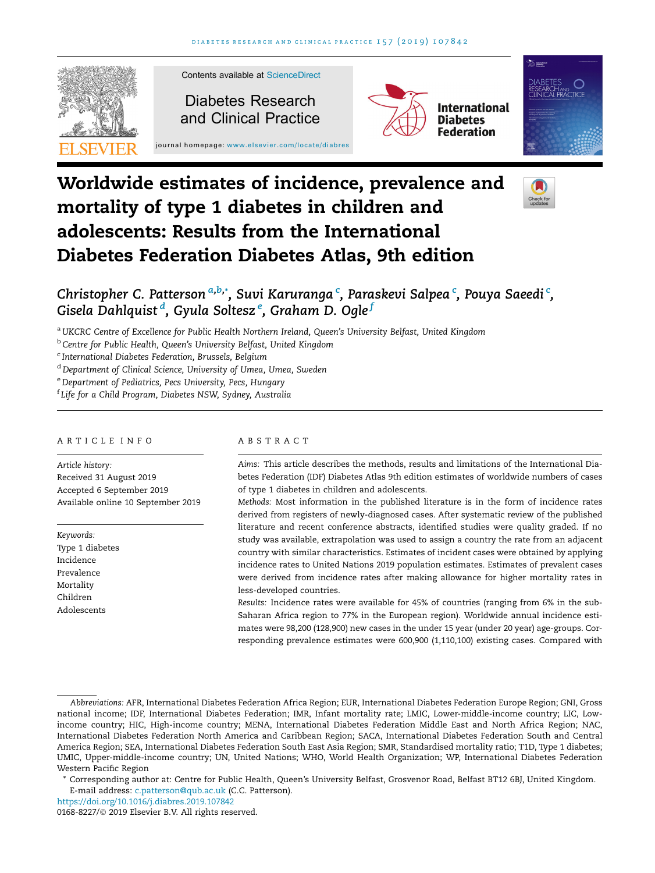

# Worldwide estimates of incidence, prevalence and mortality of type 1 diabetes in children and adolescents: Results from the International Diabetes Federation Diabetes Atlas, 9th edition



# Christopher C. Patterson <sup>a,b,</sup>\*, Suvi Karuranga <sup>c</sup>, Paraskevi Salpea <sup>c</sup>, Pouya Saeedi <sup>c</sup>, Gisela Dahlquist <sup>d</sup>, Gyula Soltesz <sup>e</sup>, Graham D. Ogle <sup>f</sup>

<sup>a</sup> UKCRC Centre of Excellence for Public Health Northern Ireland, Queen's University Belfast, United Kingdom

<sup>b</sup> Centre for Public Health, Queen's University Belfast, United Kingdom

<sup>c</sup> International Diabetes Federation, Brussels, Belgium

<sup>d</sup> Department of Clinical Science, University of Umea, Umea, Sweden

<sup>e</sup> Department of Pediatrics, Pecs University, Pecs, Hungary

f Life for a Child Program, Diabetes NSW, Sydney, Australia

#### ARTICLE INFO

Article history: Received 31 August 2019 Accepted 6 September 2019 Available online 10 September 2019

Keywords: Type 1 diabetes Incidence Prevalence Mortality Children Adolescents

#### ABSTRACT

Aims: This article describes the methods, results and limitations of the International Diabetes Federation (IDF) Diabetes Atlas 9th edition estimates of worldwide numbers of cases of type 1 diabetes in children and adolescents.

Methods: Most information in the published literature is in the form of incidence rates derived from registers of newly-diagnosed cases. After systematic review of the published literature and recent conference abstracts, identified studies were quality graded. If no study was available, extrapolation was used to assign a country the rate from an adjacent country with similar characteristics. Estimates of incident cases were obtained by applying incidence rates to United Nations 2019 population estimates. Estimates of prevalent cases were derived from incidence rates after making allowance for higher mortality rates in less-developed countries.

Results: Incidence rates were available for 45% of countries (ranging from 6% in the sub-Saharan Africa region to 77% in the European region). Worldwide annual incidence estimates were 98,200 (128,900) new cases in the under 15 year (under 20 year) age-groups. Corresponding prevalence estimates were 600,900 (1,110,100) existing cases. Compared with

\* Corresponding author at: Centre for Public Health, Queen's University Belfast, Grosvenor Road, Belfast BT12 6BJ, United Kingdom. E-mail address: [c.patterson@qub.ac.uk](mailto:c.patterson@qub.ac.uk) (C.C. Patterson).

<https://doi.org/10.1016/j.diabres.2019.107842>

Abbreviations: AFR, International Diabetes Federation Africa Region; EUR, International Diabetes Federation Europe Region; GNI, Gross national income; IDF, International Diabetes Federation; IMR, Infant mortality rate; LMIC, Lower-middle-income country; LIC, Lowincome country; HIC, High-income country; MENA, International Diabetes Federation Middle East and North Africa Region; NAC, International Diabetes Federation North America and Caribbean Region; SACA, International Diabetes Federation South and Central America Region; SEA, International Diabetes Federation South East Asia Region; SMR, Standardised mortality ratio; T1D, Type 1 diabetes; UMIC, Upper-middle-income country; UN, United Nations; WHO, World Health Organization; WP, International Diabetes Federation Western Pacific Region

<sup>0168-8227/© 2019</sup> Elsevier B.V. All rights reserved.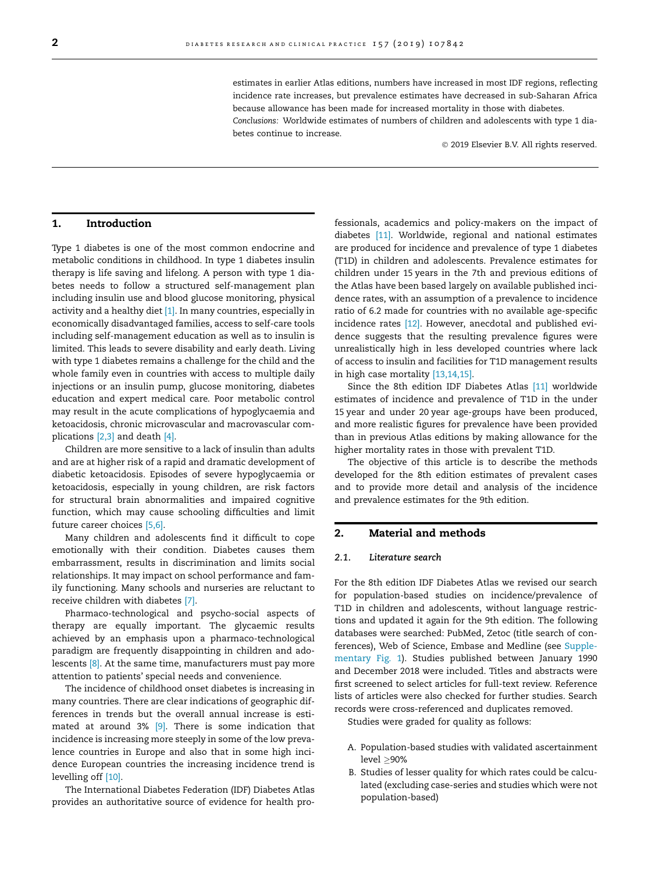estimates in earlier Atlas editions, numbers have increased in most IDF regions, reflecting incidence rate increases, but prevalence estimates have decreased in sub-Saharan Africa because allowance has been made for increased mortality in those with diabetes.

Conclusions: Worldwide estimates of numbers of children and adolescents with type 1 diabetes continue to increase.

2019 Elsevier B.V. All rights reserved.

# 1. Introduction

Type 1 diabetes is one of the most common endocrine and metabolic conditions in childhood. In type 1 diabetes insulin therapy is life saving and lifelong. A person with type 1 diabetes needs to follow a structured self-management plan including insulin use and blood glucose monitoring, physical activity and a healthy diet  $[1]$ . In many countries, especially in economically disadvantaged families, access to self-care tools including self-management education as well as to insulin is limited. This leads to severe disability and early death. Living with type 1 diabetes remains a challenge for the child and the whole family even in countries with access to multiple daily injections or an insulin pump, glucose monitoring, diabetes education and expert medical care. Poor metabolic control may result in the acute complications of hypoglycaemia and ketoacidosis, chronic microvascular and macrovascular complications [\[2,3\]](#page-7-0) and death [\[4\]](#page-7-0).

Children are more sensitive to a lack of insulin than adults and are at higher risk of a rapid and dramatic development of diabetic ketoacidosis. Episodes of severe hypoglycaemia or ketoacidosis, especially in young children, are risk factors for structural brain abnormalities and impaired cognitive function, which may cause schooling difficulties and limit future career choices [\[5,6\]](#page-7-0).

Many children and adolescents find it difficult to cope emotionally with their condition. Diabetes causes them embarrassment, results in discrimination and limits social relationships. It may impact on school performance and family functioning. Many schools and nurseries are reluctant to receive children with diabetes [\[7\]](#page-7-0).

Pharmaco-technological and psycho-social aspects of therapy are equally important. The glycaemic results achieved by an emphasis upon a pharmaco-technological paradigm are frequently disappointing in children and ado-lescents [\[8\].](#page-7-0) At the same time, manufacturers must pay more attention to patients' special needs and convenience.

The incidence of childhood onset diabetes is increasing in many countries. There are clear indications of geographic differences in trends but the overall annual increase is estimated at around 3% [\[9\].](#page-7-0) There is some indication that incidence is increasing more steeply in some of the low prevalence countries in Europe and also that in some high incidence European countries the increasing incidence trend is levelling off [\[10\].](#page-7-0)

The International Diabetes Federation (IDF) Diabetes Atlas provides an authoritative source of evidence for health professionals, academics and policy-makers on the impact of diabetes [\[11\]](#page-7-0). Worldwide, regional and national estimates are produced for incidence and prevalence of type 1 diabetes (T1D) in children and adolescents. Prevalence estimates for children under 15 years in the 7th and previous editions of the Atlas have been based largely on available published incidence rates, with an assumption of a prevalence to incidence ratio of 6.2 made for countries with no available age-specific incidence rates [\[12\].](#page-7-0) However, anecdotal and published evidence suggests that the resulting prevalence figures were unrealistically high in less developed countries where lack of access to insulin and facilities for T1D management results in high case mortality [\[13,14,15\]](#page-7-0).

Since the 8th edition IDF Diabetes Atlas [\[11\]](#page-7-0) worldwide estimates of incidence and prevalence of T1D in the under 15 year and under 20 year age-groups have been produced, and more realistic figures for prevalence have been provided than in previous Atlas editions by making allowance for the higher mortality rates in those with prevalent T1D.

The objective of this article is to describe the methods developed for the 8th edition estimates of prevalent cases and to provide more detail and analysis of the incidence and prevalence estimates for the 9th edition.

#### 2. Material and methods

#### 2.1. Literature search

For the 8th edition IDF Diabetes Atlas we revised our search for population-based studies on incidence/prevalence of T1D in children and adolescents, without language restrictions and updated it again for the 9th edition. The following databases were searched: PubMed, Zetoc (title search of conferences), Web of Science, Embase and Medline (see Supplementary Fig. 1). Studies published between January 1990 and December 2018 were included. Titles and abstracts were first screened to select articles for full-text review. Reference lists of articles were also checked for further studies. Search records were cross-referenced and duplicates removed.

Studies were graded for quality as follows:

- A. Population-based studies with validated ascertainment level >90%
- B. Studies of lesser quality for which rates could be calculated (excluding case-series and studies which were not population-based)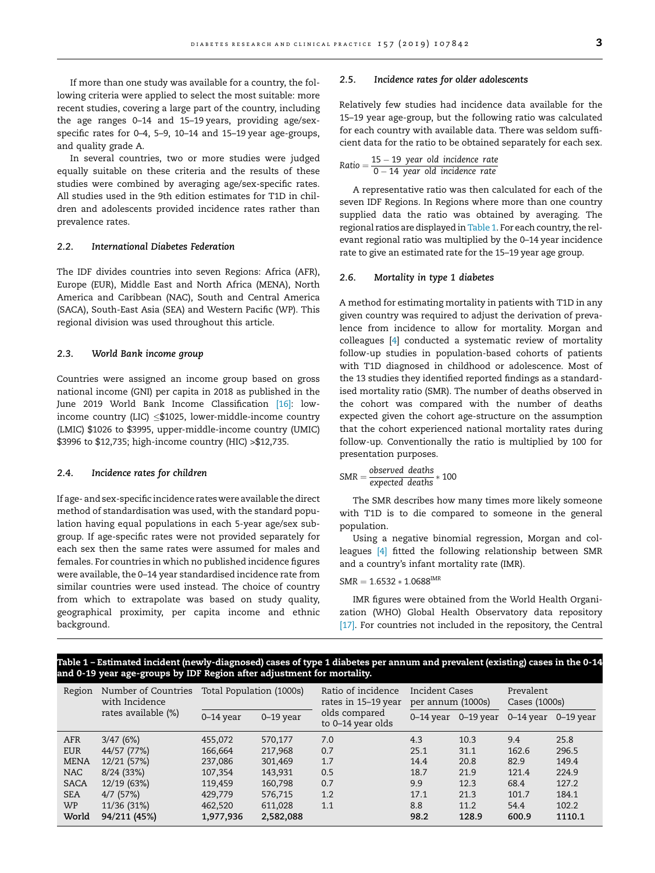<span id="page-2-0"></span>In several countries, two or more studies were judged equally suitable on these criteria and the results of these studies were combined by averaging age/sex-specific rates. All studies used in the 9th edition estimates for T1D in children and adolescents provided incidence rates rather than prevalence rates.

#### 2.2. International Diabetes Federation

The IDF divides countries into seven Regions: Africa (AFR), Europe (EUR), Middle East and North Africa (MENA), North America and Caribbean (NAC), South and Central America (SACA), South-East Asia (SEA) and Western Pacific (WP). This regional division was used throughout this article.

# 2.3. World Bank income group

Countries were assigned an income group based on gross national income (GNI) per capita in 2018 as published in the June 2019 World Bank Income Classification [\[16\]:](#page-7-0) lowincome country (LIC)  $\leq$ \$1025, lower-middle-income country (LMIC) \$1026 to \$3995, upper-middle-income country (UMIC) \$3996 to \$12,735; high-income country (HIC) >\$12,735.

#### 2.4. Incidence rates for children

If age- and sex-specific incidence rateswere available the direct method of standardisation was used, with the standard population having equal populations in each 5-year age/sex subgroup. If age-specific rates were not provided separately for each sex then the same rates were assumed for males and females. For countries in which no published incidence figures were available, the 0–14 year standardised incidence rate from similar countries were used instead. The choice of country from which to extrapolate was based on study quality, geographical proximity, per capita income and ethnic background.

#### 2.5. Incidence rates for older adolescents

Relatively few studies had incidence data available for the 15–19 year age-group, but the following ratio was calculated for each country with available data. There was seldom sufficient data for the ratio to be obtained separately for each sex.

Ratio = 
$$
\frac{15 - 19 \text{ year old incidence rate}}{0 - 14 \text{ year old incidence rate}}
$$

A representative ratio was then calculated for each of the seven IDF Regions. In Regions where more than one country supplied data the ratio was obtained by averaging. The regional ratios are displayed in Table 1. For each country, the relevant regional ratio was multiplied by the 0–14 year incidence rate to give an estimated rate for the 15–19 year age group.

#### 2.6. Mortality in type 1 diabetes

A method for estimating mortality in patients with T1D in any given country was required to adjust the derivation of prevalence from incidence to allow for mortality. Morgan and colleagues [[4\]](#page-7-0) conducted a systematic review of mortality follow-up studies in population-based cohorts of patients with T1D diagnosed in childhood or adolescence. Most of the 13 studies they identified reported findings as a standardised mortality ratio (SMR). The number of deaths observed in the cohort was compared with the number of deaths expected given the cohort age-structure on the assumption that the cohort experienced national mortality rates during follow-up. Conventionally the ratio is multiplied by 100 for presentation purposes.

$$
SMR = \frac{observed\ deaths}{expected\ deaths} * 100
$$

The SMR describes how many times more likely someone with T1D is to die compared to someone in the general population.

Using a negative binomial regression, Morgan and colleagues [\[4\]](#page-7-0) fitted the following relationship between SMR and a country's infant mortality rate (IMR).

#### $SMR = 1.6532 * 1.0688^{IMR}$

IMR figures were obtained from the World Health Organization (WHO) Global Health Observatory data repository [\[17\].](#page-7-0) For countries not included in the repository, the Central

# Table 1 – Estimated incident (newly-diagnosed) cases of type 1 diabetes per annum and prevalent (existing) cases in the 0-14 and 0-19 year age-groups by IDF Region after adjustment for mortality.

| Region      | Number of Countries<br>with Incidence<br>rates available (%) | Total Population (1000s) |               | Ratio of incidence<br>rates in 15-19 year | <b>Incident Cases</b><br>per annum (1000s) |             | Prevalent<br>Cases (1000s) |               |
|-------------|--------------------------------------------------------------|--------------------------|---------------|-------------------------------------------|--------------------------------------------|-------------|----------------------------|---------------|
|             |                                                              | $0-14$ year              | $0 - 19$ year | olds compared<br>to 0–14 year olds        | $0-14$ year                                | $0-19$ year | $0-14$ year                | $0 - 19$ year |
| <b>AFR</b>  | 3/47(6%)                                                     | 455,072                  | 570,177       | 7.0                                       | 4.3                                        | 10.3        | 9.4                        | 25.8          |
| <b>EUR</b>  | 44/57 (77%)                                                  | 166,664                  | 217,968       | 0.7                                       | 25.1                                       | 31.1        | 162.6                      | 296.5         |
| <b>MENA</b> | 12/21 (57%)                                                  | 237,086                  | 301,469       | 1.7                                       | 14.4                                       | 20.8        | 82.9                       | 149.4         |
| <b>NAC</b>  | 8/24(33%)                                                    | 107,354                  | 143,931       | 0.5                                       | 18.7                                       | 21.9        | 121.4                      | 224.9         |
| <b>SACA</b> | 12/19 (63%)                                                  | 119,459                  | 160,798       | 0.7                                       | 9.9                                        | 12.3        | 68.4                       | 127.2         |
| <b>SEA</b>  | $4/7$ (57%)                                                  | 429,779                  | 576,715       | 1.2                                       | 17.1                                       | 21.3        | 101.7                      | 184.1         |
| <b>WP</b>   | 11/36 (31%)                                                  | 462,520                  | 611,028       | 1.1                                       | 8.8                                        | 11.2        | 54.4                       | 102.2         |
| World       | 94/211 (45%)                                                 | 1,977,936                | 2,582,088     |                                           | 98.2                                       | 128.9       | 600.9                      | 1110.1        |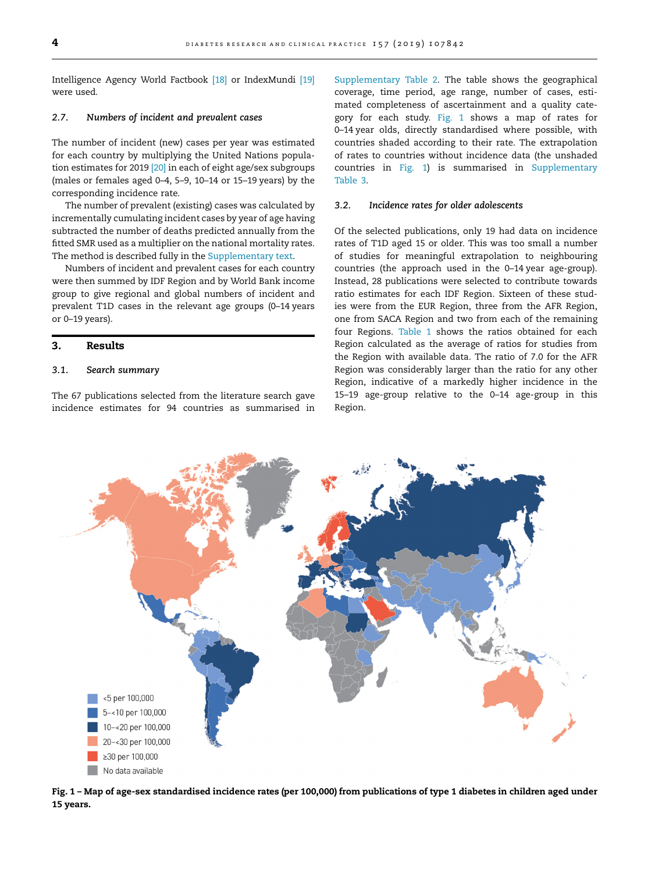Intelligence Agency World Factbook [\[18\]](#page-7-0) or IndexMundi [\[19\]](#page-7-0) were used.

# 2.7. Numbers of incident and prevalent cases

The number of incident (new) cases per year was estimated for each country by multiplying the United Nations population estimates for 2019 [\[20\]](#page-7-0) in each of eight age/sex subgroups (males or females aged 0–4, 5–9, 10–14 or 15–19 years) by the corresponding incidence rate.

The number of prevalent (existing) cases was calculated by incrementally cumulating incident cases by year of age having subtracted the number of deaths predicted annually from the fitted SMR used as a multiplier on the national mortality rates. The method is described fully in the Supplementary text.

Numbers of incident and prevalent cases for each country were then summed by IDF Region and by World Bank income group to give regional and global numbers of incident and prevalent T1D cases in the relevant age groups (0–14 years or 0–19 years).

# 3. Results

# 3.1. Search summary

The 67 publications selected from the literature search gave incidence estimates for 94 countries as summarised in Supplementary Table 2. The table shows the geographical coverage, time period, age range, number of cases, estimated completeness of ascertainment and a quality category for each study. Fig. 1 shows a map of rates for 0–14 year olds, directly standardised where possible, with countries shaded according to their rate. The extrapolation of rates to countries without incidence data (the unshaded countries in Fig. 1) is summarised in Supplementary Table 3.

#### 3.2. Incidence rates for older adolescents

Of the selected publications, only 19 had data on incidence rates of T1D aged 15 or older. This was too small a number of studies for meaningful extrapolation to neighbouring countries (the approach used in the 0–14 year age-group). Instead, 28 publications were selected to contribute towards ratio estimates for each IDF Region. Sixteen of these studies were from the EUR Region, three from the AFR Region, one from SACA Region and two from each of the remaining four Regions. [Table 1](#page-2-0) shows the ratios obtained for each Region calculated as the average of ratios for studies from the Region with available data. The ratio of 7.0 for the AFR Region was considerably larger than the ratio for any other Region, indicative of a markedly higher incidence in the 15–19 age-group relative to the 0–14 age-group in this Region.



Fig. 1 – Map of age-sex standardised incidence rates (per 100,000) from publications of type 1 diabetes in children aged under 15 years.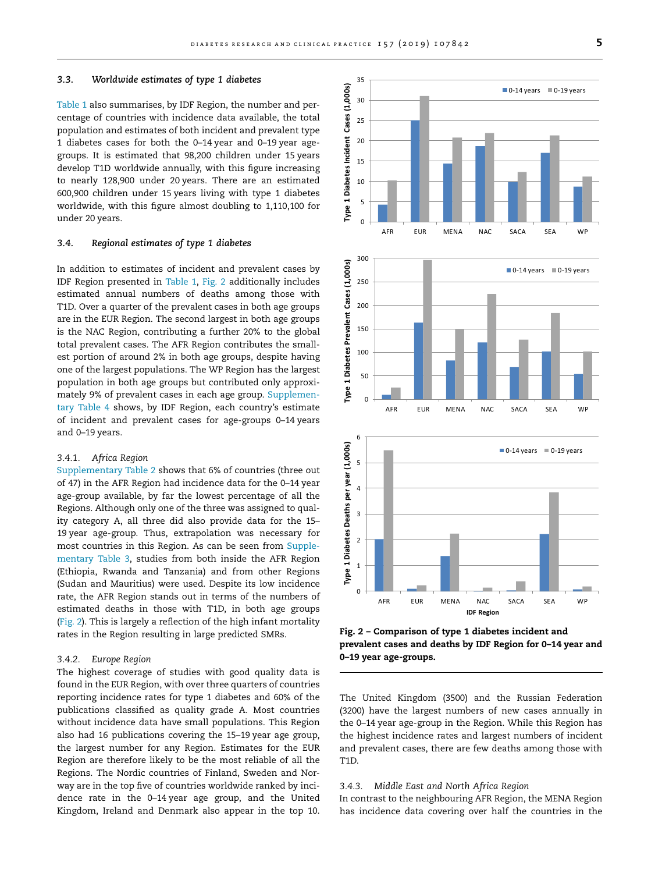#### 3.3. Worldwide estimates of type 1 diabetes

[Table 1](#page-2-0) also summarises, by IDF Region, the number and percentage of countries with incidence data available, the total population and estimates of both incident and prevalent type 1 diabetes cases for both the 0–14 year and 0–19 year agegroups. It is estimated that 98,200 children under 15 years develop T1D worldwide annually, with this figure increasing to nearly 128,900 under 20 years. There are an estimated 600,900 children under 15 years living with type 1 diabetes worldwide, with this figure almost doubling to 1,110,100 for under 20 years.

#### 3.4. Regional estimates of type 1 diabetes

In addition to estimates of incident and prevalent cases by IDF Region presented in [Table 1,](#page-2-0) Fig. 2 additionally includes estimated annual numbers of deaths among those with T1D. Over a quarter of the prevalent cases in both age groups are in the EUR Region. The second largest in both age groups is the NAC Region, contributing a further 20% to the global total prevalent cases. The AFR Region contributes the smallest portion of around 2% in both age groups, despite having one of the largest populations. The WP Region has the largest population in both age groups but contributed only approximately 9% of prevalent cases in each age group. Supplementary Table 4 shows, by IDF Region, each country's estimate of incident and prevalent cases for age-groups 0–14 years and 0–19 years.

#### 3.4.1. Africa Region

Supplementary Table 2 shows that 6% of countries (three out of 47) in the AFR Region had incidence data for the 0–14 year age-group available, by far the lowest percentage of all the Regions. Although only one of the three was assigned to quality category A, all three did also provide data for the 15– 19 year age-group. Thus, extrapolation was necessary for most countries in this Region. As can be seen from Supplementary Table 3, studies from both inside the AFR Region (Ethiopia, Rwanda and Tanzania) and from other Regions (Sudan and Mauritius) were used. Despite its low incidence rate, the AFR Region stands out in terms of the numbers of estimated deaths in those with T1D, in both age groups (Fig. 2). This is largely a reflection of the high infant mortality rates in the Region resulting in large predicted SMRs.

#### 3.4.2. Europe Region

The highest coverage of studies with good quality data is found in the EUR Region, with over three quarters of countries reporting incidence rates for type 1 diabetes and 60% of the publications classified as quality grade A. Most countries without incidence data have small populations. This Region also had 16 publications covering the 15–19 year age group, the largest number for any Region. Estimates for the EUR Region are therefore likely to be the most reliable of all the Regions. The Nordic countries of Finland, Sweden and Norway are in the top five of countries worldwide ranked by incidence rate in the 0–14 year age group, and the United Kingdom, Ireland and Denmark also appear in the top 10.

**Type 1 Diabetes Prevalent Cases (1,000s)** Type 1 Diabetes Prevalent 150 100 50  $\Omega$ AFR EUR MENA NAC SACA SEA WP 6

200

250

Cases (1,000s)



Fig. 2 – Comparison of type 1 diabetes incident and prevalent cases and deaths by IDF Region for 0–14 year and 0–19 year age-groups.

The United Kingdom (3500) and the Russian Federation (3200) have the largest numbers of new cases annually in the 0–14 year age-group in the Region. While this Region has the highest incidence rates and largest numbers of incident and prevalent cases, there are few deaths among those with T1D.

# 3.4.3. Middle East and North Africa Region

In contrast to the neighbouring AFR Region, the MENA Region has incidence data covering over half the countries in the

 $\Box$  0-14 years  $\Box$  0-19 years

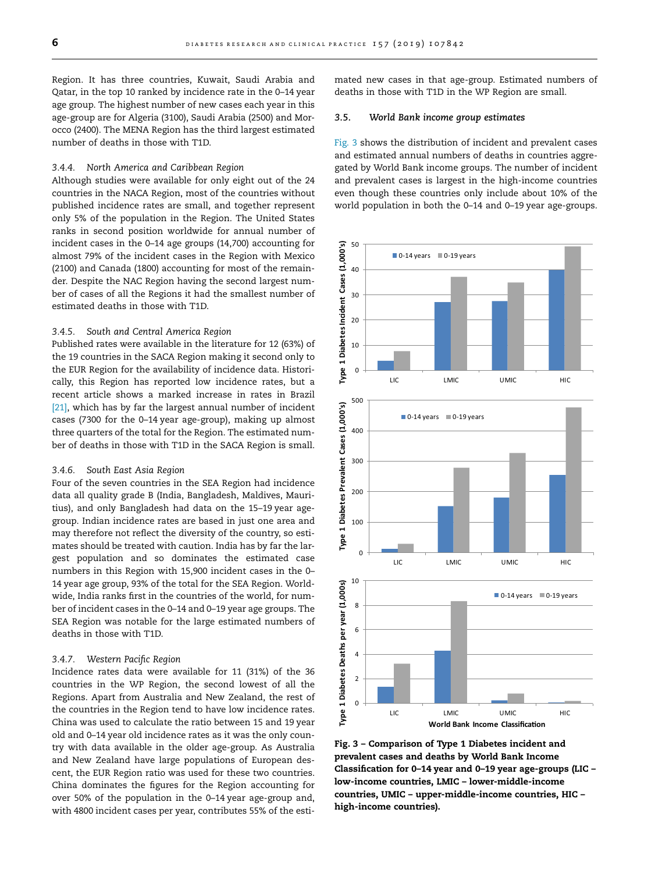<span id="page-5-0"></span>Region. It has three countries, Kuwait, Saudi Arabia and Qatar, in the top 10 ranked by incidence rate in the 0–14 year age group. The highest number of new cases each year in this age-group are for Algeria (3100), Saudi Arabia (2500) and Morocco (2400). The MENA Region has the third largest estimated number of deaths in those with T1D.

#### 3.4.4. North America and Caribbean Region

Although studies were available for only eight out of the 24 countries in the NACA Region, most of the countries without published incidence rates are small, and together represent only 5% of the population in the Region. The United States ranks in second position worldwide for annual number of incident cases in the 0–14 age groups (14,700) accounting for almost 79% of the incident cases in the Region with Mexico (2100) and Canada (1800) accounting for most of the remainder. Despite the NAC Region having the second largest number of cases of all the Regions it had the smallest number of estimated deaths in those with T1D.

#### 3.4.5. South and Central America Region

Published rates were available in the literature for 12 (63%) of the 19 countries in the SACA Region making it second only to the EUR Region for the availability of incidence data. Historically, this Region has reported low incidence rates, but a recent article shows a marked increase in rates in Brazil [\[21\]](#page-7-0), which has by far the largest annual number of incident cases (7300 for the 0–14 year age-group), making up almost three quarters of the total for the Region. The estimated number of deaths in those with T1D in the SACA Region is small.

#### 3.4.6. South East Asia Region

Four of the seven countries in the SEA Region had incidence data all quality grade B (India, Bangladesh, Maldives, Mauritius), and only Bangladesh had data on the 15–19 year agegroup. Indian incidence rates are based in just one area and may therefore not reflect the diversity of the country, so estimates should be treated with caution. India has by far the largest population and so dominates the estimated case numbers in this Region with 15,900 incident cases in the 0– 14 year age group, 93% of the total for the SEA Region. Worldwide, India ranks first in the countries of the world, for number of incident cases in the 0–14 and 0–19 year age groups. The SEA Region was notable for the large estimated numbers of deaths in those with T1D.

#### 3.4.7. Western Pacific Region

Incidence rates data were available for 11 (31%) of the 36 countries in the WP Region, the second lowest of all the Regions. Apart from Australia and New Zealand, the rest of the countries in the Region tend to have low incidence rates. China was used to calculate the ratio between 15 and 19 year old and 0–14 year old incidence rates as it was the only country with data available in the older age-group. As Australia and New Zealand have large populations of European descent, the EUR Region ratio was used for these two countries. China dominates the figures for the Region accounting for over 50% of the population in the 0–14 year age-group and, with 4800 incident cases per year, contributes 55% of the estimated new cases in that age-group. Estimated numbers of deaths in those with T1D in the WP Region are small.

# 3.5. World Bank income group estimates

Fig. 3 shows the distribution of incident and prevalent cases and estimated annual numbers of deaths in countries aggregated by World Bank income groups. The number of incident and prevalent cases is largest in the high-income countries even though these countries only include about 10% of the world population in both the 0–14 and 0–19 year age-groups.



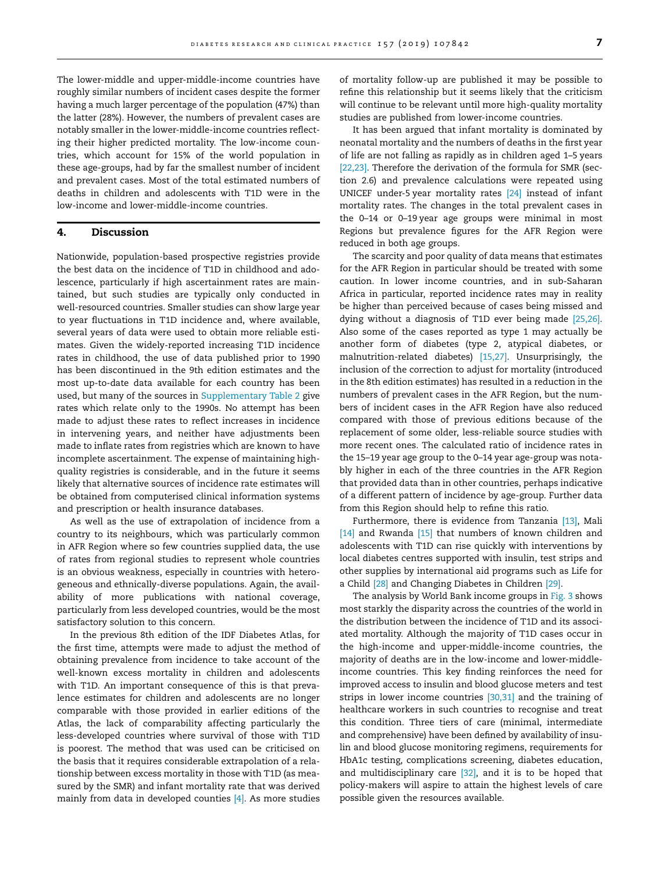The lower-middle and upper-middle-income countries have roughly similar numbers of incident cases despite the former having a much larger percentage of the population (47%) than the latter (28%). However, the numbers of prevalent cases are notably smaller in the lower-middle-income countries reflecting their higher predicted mortality. The low-income countries, which account for 15% of the world population in these age-groups, had by far the smallest number of incident and prevalent cases. Most of the total estimated numbers of deaths in children and adolescents with T1D were in the low-income and lower-middle-income countries.

#### 4. Discussion

Nationwide, population-based prospective registries provide the best data on the incidence of T1D in childhood and adolescence, particularly if high ascertainment rates are maintained, but such studies are typically only conducted in well-resourced countries. Smaller studies can show large year to year fluctuations in T1D incidence and, where available, several years of data were used to obtain more reliable estimates. Given the widely-reported increasing T1D incidence rates in childhood, the use of data published prior to 1990 has been discontinued in the 9th edition estimates and the most up-to-date data available for each country has been used, but many of the sources in Supplementary Table 2 give rates which relate only to the 1990s. No attempt has been made to adjust these rates to reflect increases in incidence in intervening years, and neither have adjustments been made to inflate rates from registries which are known to have incomplete ascertainment. The expense of maintaining highquality registries is considerable, and in the future it seems likely that alternative sources of incidence rate estimates will be obtained from computerised clinical information systems and prescription or health insurance databases.

As well as the use of extrapolation of incidence from a country to its neighbours, which was particularly common in AFR Region where so few countries supplied data, the use of rates from regional studies to represent whole countries is an obvious weakness, especially in countries with heterogeneous and ethnically-diverse populations. Again, the availability of more publications with national coverage, particularly from less developed countries, would be the most satisfactory solution to this concern.

In the previous 8th edition of the IDF Diabetes Atlas, for the first time, attempts were made to adjust the method of obtaining prevalence from incidence to take account of the well-known excess mortality in children and adolescents with T1D. An important consequence of this is that prevalence estimates for children and adolescents are no longer comparable with those provided in earlier editions of the Atlas, the lack of comparability affecting particularly the less-developed countries where survival of those with T1D is poorest. The method that was used can be criticised on the basis that it requires considerable extrapolation of a relationship between excess mortality in those with T1D (as measured by the SMR) and infant mortality rate that was derived mainly from data in developed counties [\[4\]](#page-7-0). As more studies of mortality follow-up are published it may be possible to refine this relationship but it seems likely that the criticism will continue to be relevant until more high-quality mortality studies are published from lower-income countries.

It has been argued that infant mortality is dominated by neonatal mortality and the numbers of deaths in the first year of life are not falling as rapidly as in children aged 1–5 years [\[22,23\].](#page-7-0) Therefore the derivation of the formula for SMR (section 2.6) and prevalence calculations were repeated using UNICEF under-5 year mortality rates [\[24\]](#page-7-0) instead of infant mortality rates. The changes in the total prevalent cases in the 0–14 or 0–19 year age groups were minimal in most Regions but prevalence figures for the AFR Region were reduced in both age groups.

The scarcity and poor quality of data means that estimates for the AFR Region in particular should be treated with some caution. In lower income countries, and in sub-Saharan Africa in particular, reported incidence rates may in reality be higher than perceived because of cases being missed and dying without a diagnosis of T1D ever being made [\[25,26\].](#page-7-0) Also some of the cases reported as type 1 may actually be another form of diabetes (type 2, atypical diabetes, or malnutrition-related diabetes) [\[15,27\]](#page-7-0). Unsurprisingly, the inclusion of the correction to adjust for mortality (introduced in the 8th edition estimates) has resulted in a reduction in the numbers of prevalent cases in the AFR Region, but the numbers of incident cases in the AFR Region have also reduced compared with those of previous editions because of the replacement of some older, less-reliable source studies with more recent ones. The calculated ratio of incidence rates in the 15–19 year age group to the 0–14 year age-group was notably higher in each of the three countries in the AFR Region that provided data than in other countries, perhaps indicative of a different pattern of incidence by age-group. Further data from this Region should help to refine this ratio.

Furthermore, there is evidence from Tanzania [\[13\]](#page-7-0), Mali [\[14\]](#page-7-0) and Rwanda [\[15\]](#page-7-0) that numbers of known children and adolescents with T1D can rise quickly with interventions by local diabetes centres supported with insulin, test strips and other supplies by international aid programs such as Life for a Child [\[28\]](#page-7-0) and Changing Diabetes in Children [\[29\].](#page-8-0)

The analysis by World Bank income groups in [Fig. 3](#page-5-0) shows most starkly the disparity across the countries of the world in the distribution between the incidence of T1D and its associated mortality. Although the majority of T1D cases occur in the high-income and upper-middle-income countries, the majority of deaths are in the low-income and lower-middleincome countries. This key finding reinforces the need for improved access to insulin and blood glucose meters and test strips in lower income countries [\[30,31\]](#page-8-0) and the training of healthcare workers in such countries to recognise and treat this condition. Three tiers of care (minimal, intermediate and comprehensive) have been defined by availability of insulin and blood glucose monitoring regimens, requirements for HbA1c testing, complications screening, diabetes education, and multidisciplinary care  $[32]$ , and it is to be hoped that policy-makers will aspire to attain the highest levels of care possible given the resources available.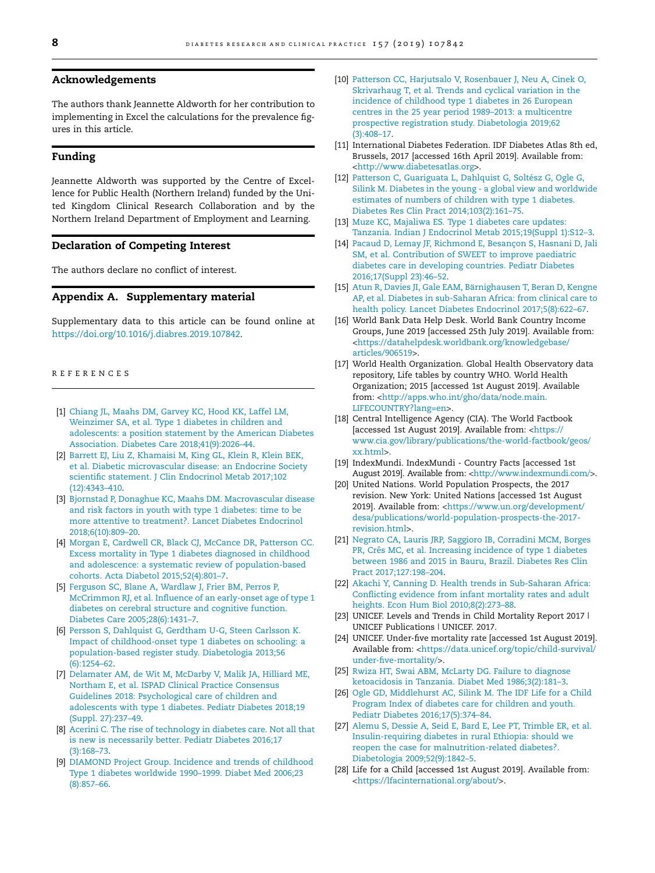# <span id="page-7-0"></span>Acknowledgements

The authors thank Jeannette Aldworth for her contribution to implementing in Excel the calculations for the prevalence figures in this article.

# Funding

Jeannette Aldworth was supported by the Centre of Excellence for Public Health (Northern Ireland) funded by the United Kingdom Clinical Research Collaboration and by the Northern Ireland Department of Employment and Learning.

#### Declaration of Competing Interest

The authors declare no conflict of interest.

# Appendix A. Supplementary material

Supplementary data to this article can be found online at <https://doi.org/10.1016/j.diabres.2019.107842>.

# REFERENCES

- [1] [Chiang JL, Maahs DM, Garvey KC, Hood KK, Laffel LM,](http://refhub.elsevier.com/S0168-8227(19)31233-1/h0005) [Weinzimer SA, et al. Type 1 diabetes in children and](http://refhub.elsevier.com/S0168-8227(19)31233-1/h0005) [adolescents: a position statement by the American Diabetes](http://refhub.elsevier.com/S0168-8227(19)31233-1/h0005) [Association. Diabetes Care 2018;41\(9\):2026–44.](http://refhub.elsevier.com/S0168-8227(19)31233-1/h0005)
- [2] [Barrett EJ, Liu Z, Khamaisi M, King GL, Klein R, Klein BEK,](http://refhub.elsevier.com/S0168-8227(19)31233-1/h0010) [et al. Diabetic microvascular disease: an Endocrine Society](http://refhub.elsevier.com/S0168-8227(19)31233-1/h0010) [scientific statement. J Clin Endocrinol Metab 2017;102](http://refhub.elsevier.com/S0168-8227(19)31233-1/h0010) [\(12\):4343–410.](http://refhub.elsevier.com/S0168-8227(19)31233-1/h0010)
- [3] [Bjornstad P, Donaghue KC, Maahs DM. Macrovascular disease](http://refhub.elsevier.com/S0168-8227(19)31233-1/h0015) [and risk factors in youth with type 1 diabetes: time to be](http://refhub.elsevier.com/S0168-8227(19)31233-1/h0015) [more attentive to treatment?. Lancet Diabetes Endocrinol](http://refhub.elsevier.com/S0168-8227(19)31233-1/h0015) [2018;6\(10\):809–20](http://refhub.elsevier.com/S0168-8227(19)31233-1/h0015).
- [4] [Morgan E, Cardwell CR, Black CJ, McCance DR, Patterson CC.](http://refhub.elsevier.com/S0168-8227(19)31233-1/h0020) [Excess mortality in Type 1 diabetes diagnosed in childhood](http://refhub.elsevier.com/S0168-8227(19)31233-1/h0020) [and adolescence: a systematic review of population-based](http://refhub.elsevier.com/S0168-8227(19)31233-1/h0020) [cohorts. Acta Diabetol 2015;52\(4\):801–7](http://refhub.elsevier.com/S0168-8227(19)31233-1/h0020).
- [5] [Ferguson SC, Blane A, Wardlaw J, Frier BM, Perros P,](http://refhub.elsevier.com/S0168-8227(19)31233-1/h0025) [McCrimmon RJ, et al. Influence of an early-onset age of type 1](http://refhub.elsevier.com/S0168-8227(19)31233-1/h0025) [diabetes on cerebral structure and cognitive function.](http://refhub.elsevier.com/S0168-8227(19)31233-1/h0025) [Diabetes Care 2005;28\(6\):1431–7.](http://refhub.elsevier.com/S0168-8227(19)31233-1/h0025)
- [6] [Persson S, Dahlquist G, Gerdtham U-G, Steen Carlsson K.](http://refhub.elsevier.com/S0168-8227(19)31233-1/h0030) [Impact of childhood-onset type 1 diabetes on schooling: a](http://refhub.elsevier.com/S0168-8227(19)31233-1/h0030) [population-based register study. Diabetologia 2013;56](http://refhub.elsevier.com/S0168-8227(19)31233-1/h0030) [\(6\):1254–62.](http://refhub.elsevier.com/S0168-8227(19)31233-1/h0030)
- [7] [Delamater AM, de Wit M, McDarby V, Malik JA, Hilliard ME,](http://refhub.elsevier.com/S0168-8227(19)31233-1/h0035) [Northam E, et al. ISPAD Clinical Practice Consensus](http://refhub.elsevier.com/S0168-8227(19)31233-1/h0035) [Guidelines 2018: Psychological care of children and](http://refhub.elsevier.com/S0168-8227(19)31233-1/h0035) [adolescents with type 1 diabetes. Pediatr Diabetes 2018;19](http://refhub.elsevier.com/S0168-8227(19)31233-1/h0035) [\(Suppl. 27\):237–49](http://refhub.elsevier.com/S0168-8227(19)31233-1/h0035).
- [8] [Acerini C. The rise of technology in diabetes care. Not all that](http://refhub.elsevier.com/S0168-8227(19)31233-1/h0040) [is new is necessarily better. Pediatr Diabetes 2016;17](http://refhub.elsevier.com/S0168-8227(19)31233-1/h0040) [\(3\):168–73.](http://refhub.elsevier.com/S0168-8227(19)31233-1/h0040)
- [9] [DIAMOND Project Group. Incidence and trends of childhood](http://refhub.elsevier.com/S0168-8227(19)31233-1/h0045) [Type 1 diabetes worldwide 1990–1999. Diabet Med 2006;23](http://refhub.elsevier.com/S0168-8227(19)31233-1/h0045) [\(8\):857–66.](http://refhub.elsevier.com/S0168-8227(19)31233-1/h0045)
- [10] [Patterson CC, Harjutsalo V, Rosenbauer J, Neu A, Cinek O,](http://refhub.elsevier.com/S0168-8227(19)31233-1/h0050) [Skrivarhaug T, et al. Trends and cyclical variation in the](http://refhub.elsevier.com/S0168-8227(19)31233-1/h0050) [incidence of childhood type 1 diabetes in 26 European](http://refhub.elsevier.com/S0168-8227(19)31233-1/h0050) [centres in the 25 year period 1989–2013: a multicentre](http://refhub.elsevier.com/S0168-8227(19)31233-1/h0050) [prospective registration study. Diabetologia 2019;62](http://refhub.elsevier.com/S0168-8227(19)31233-1/h0050) [\(3\):408–17.](http://refhub.elsevier.com/S0168-8227(19)31233-1/h0050)
- [11] International Diabetes Federation. IDF Diabetes Atlas 8th ed, Brussels, 2017 [accessed 16th April 2019]. Available from: [<http://www.diabetesatlas.org](http://www.diabetesatlas.org)>.
- [12] Patterson C, Guariguata L, Dahlquist G, Soltész G, Ogle G, [Silink M. Diabetes in the young - a global view and worldwide](http://refhub.elsevier.com/S0168-8227(19)31233-1/h0060) [estimates of numbers of children with type 1 diabetes.](http://refhub.elsevier.com/S0168-8227(19)31233-1/h0060) [Diabetes Res Clin Pract 2014;103\(2\):161–75](http://refhub.elsevier.com/S0168-8227(19)31233-1/h0060).
- [13] [Muze KC, Majaliwa ES. Type 1 diabetes care updates:](http://refhub.elsevier.com/S0168-8227(19)31233-1/h0065) [Tanzania. Indian J Endocrinol Metab 2015;19\(Suppl 1\):S12–3.](http://refhub.elsevier.com/S0168-8227(19)31233-1/h0065)
- [14] Pacaud D, Lemay JF, Richmond E, Besançon S, Hasnani D, Jali [SM, et al. Contribution of SWEET to improve paediatric](http://refhub.elsevier.com/S0168-8227(19)31233-1/h0070) [diabetes care in developing countries. Pediatr Diabetes](http://refhub.elsevier.com/S0168-8227(19)31233-1/h0070) [2016;17\(Suppl 23\):46–52](http://refhub.elsevier.com/S0168-8227(19)31233-1/h0070).
- [15] Atun R, Davies JI, Gale EAM, Bä[rnighausen T, Beran D, Kengne](http://refhub.elsevier.com/S0168-8227(19)31233-1/h0075) [AP, et al. Diabetes in sub-Saharan Africa: from clinical care to](http://refhub.elsevier.com/S0168-8227(19)31233-1/h0075) [health policy. Lancet Diabetes Endocrinol 2017;5\(8\):622–67](http://refhub.elsevier.com/S0168-8227(19)31233-1/h0075).
- [16] World Bank Data Help Desk. World Bank Country Income Groups, June 2019 [accessed 25th July 2019]. Available from: [<https://datahelpdesk.worldbank.org/knowledgebase/](https://datahelpdesk.worldbank.org/knowledgebase/articles/906519) [articles/906519](https://datahelpdesk.worldbank.org/knowledgebase/articles/906519)>.
- [17] World Health Organization. Global Health Observatory data repository, Life tables by country WHO. World Health Organization; 2015 [accessed 1st August 2019]. Available from: <[http://apps.who.int/gho/data/node.main.](http://apps.who.int/gho/data/node.main.LIFECOUNTRY%3flang%3den) [LIFECOUNTRY?lang=en](http://apps.who.int/gho/data/node.main.LIFECOUNTRY%3flang%3den)>.
- [18] Central Intelligence Agency (CIA). The World Factbook [accessed 1st August 2019]. Available from: <[https://](https://www.cia.gov/library/publications/the-world-factbook/geos/xx.html) [www.cia.gov/library/publications/the-world-factbook/geos/](https://www.cia.gov/library/publications/the-world-factbook/geos/xx.html) [xx.html](https://www.cia.gov/library/publications/the-world-factbook/geos/xx.html)>.
- [19] IndexMundi. IndexMundi Country Facts [accessed 1st August 2019]. Available from: <[http://www.indexmundi.com/>](http://www.indexmundi.com/).
- [20] United Nations. World Population Prospects, the 2017 revision. New York: United Nations [accessed 1st August 2019]. Available from: <[https://www.un.org/development/](https://www.un.org/development/desa/publications/world-population-prospects-the-2017-revision.html) [desa/publications/world-population-prospects-the-2017](https://www.un.org/development/desa/publications/world-population-prospects-the-2017-revision.html) [revision.html>](https://www.un.org/development/desa/publications/world-population-prospects-the-2017-revision.html).
- [21] [Negrato CA, Lauris JRP, Saggioro IB, Corradini MCM, Borges](http://refhub.elsevier.com/S0168-8227(19)31233-1/h0105) PR, Crês MC, et al. Increasing incidence of type 1 diabetes [between 1986 and 2015 in Bauru, Brazil. Diabetes Res Clin](http://refhub.elsevier.com/S0168-8227(19)31233-1/h0105) [Pract 2017;127:198–204](http://refhub.elsevier.com/S0168-8227(19)31233-1/h0105).
- [22] [Akachi Y, Canning D. Health trends in Sub-Saharan Africa:](http://refhub.elsevier.com/S0168-8227(19)31233-1/h0110) [Conflicting evidence from infant mortality rates and adult](http://refhub.elsevier.com/S0168-8227(19)31233-1/h0110) [heights. Econ Hum Biol 2010;8\(2\):273–88](http://refhub.elsevier.com/S0168-8227(19)31233-1/h0110).
- [23] UNICEF. Levels and Trends in Child Mortality Report 2017 | UNICEF Publications | UNICEF. 2017.
- [24] UNICEF. Under-five mortality rate [accessed 1st August 2019]. Available from: [<https://data.unicef.org/topic/child-survival/](https://data.unicef.org/topic/child-survival/under-five-mortality/) [under-five-mortality/](https://data.unicef.org/topic/child-survival/under-five-mortality/)>.
- [25] [Rwiza HT, Swai ABM, McLarty DG. Failure to diagnose](http://refhub.elsevier.com/S0168-8227(19)31233-1/h0125) [ketoacidosis in Tanzania. Diabet Med 1986;3\(2\):181–3.](http://refhub.elsevier.com/S0168-8227(19)31233-1/h0125)
- [26] [Ogle GD, Middlehurst AC, Silink M. The IDF Life for a Child](http://refhub.elsevier.com/S0168-8227(19)31233-1/h0130) [Program Index of diabetes care for children and youth.](http://refhub.elsevier.com/S0168-8227(19)31233-1/h0130) [Pediatr Diabetes 2016;17\(5\):374–84.](http://refhub.elsevier.com/S0168-8227(19)31233-1/h0130)
- [27] [Alemu S, Dessie A, Seid E, Bard E, Lee PT, Trimble ER, et al.](http://refhub.elsevier.com/S0168-8227(19)31233-1/h0135) [Insulin-requiring diabetes in rural Ethiopia: should we](http://refhub.elsevier.com/S0168-8227(19)31233-1/h0135) [reopen the case for malnutrition-related diabetes?.](http://refhub.elsevier.com/S0168-8227(19)31233-1/h0135) [Diabetologia 2009;52\(9\):1842–5](http://refhub.elsevier.com/S0168-8227(19)31233-1/h0135).
- [28] Life for a Child [accessed 1st August 2019]. Available from: [<https://lfacinternational.org/about/>](https://lfacinternational.org/about/).